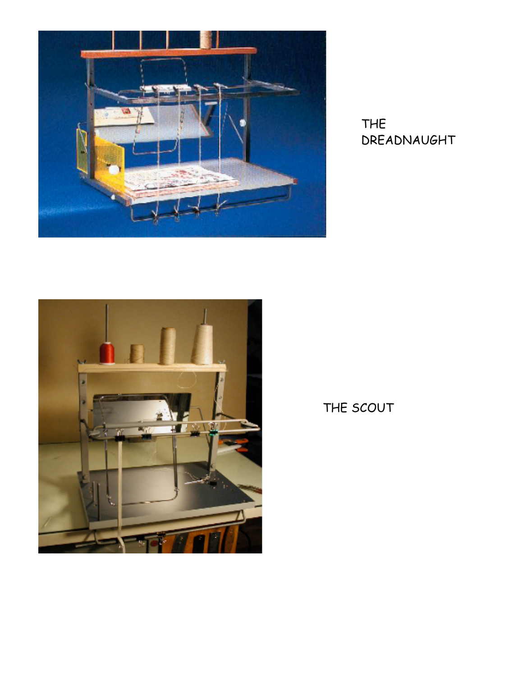

THE DREADNAUGHT



THE SCOUT